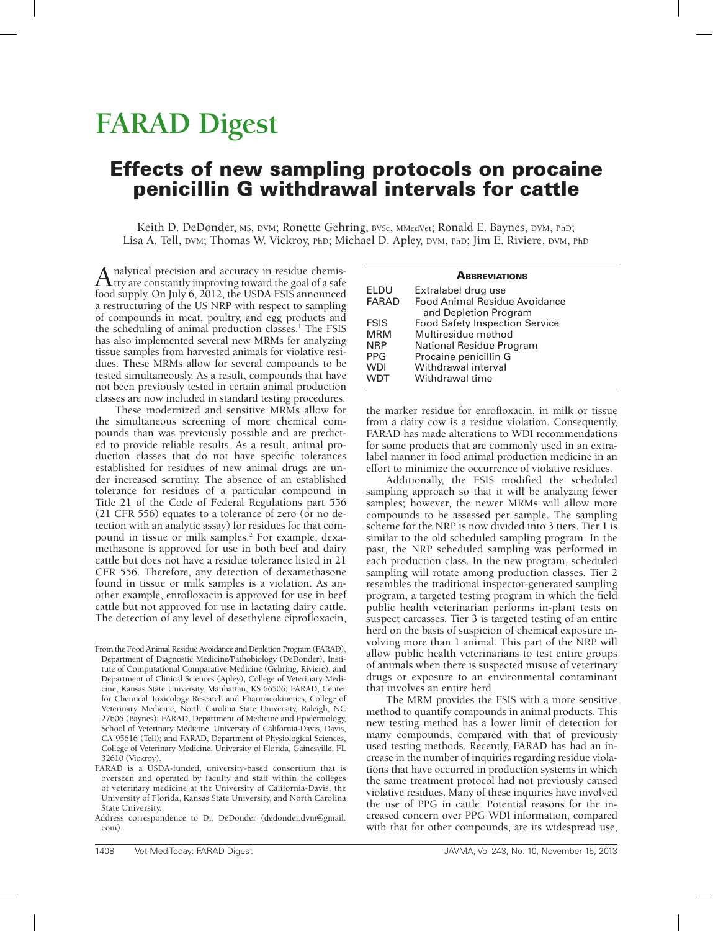# **FARAD Digest**

## Effects of new sampling protocols on procaine penicillin G withdrawal intervals for cattle

Keith D. DeDonder, MS, DVM; Ronette Gehring, BVSc, MMedVet; Ronald E. Baynes, DVM, PhD; Lisa A. Tell, DVM; Thomas W. Vickroy, PhD; Michael D. Apley, DVM, PhD; Jim E. Riviere, DVM, Ph<sup>D</sup>

Analytical precision and accuracy in residue chemis-<br>try are constantly improving toward the goal of a safe food supply. On July 6, 2012, the USDA FSIS announced a restructuring of the US NRP with respect to sampling of compounds in meat, poultry, and egg products and the scheduling of animal production classes.<sup>1</sup> The FSIS has also implemented several new MRMs for analyzing tissue samples from harvested animals for violative residues. These MRMs allow for several compounds to be tested simultaneously. As a result, compounds that have not been previously tested in certain animal production classes are now included in standard testing procedures.

These modernized and sensitive MRMs allow for the simultaneous screening of more chemical compounds than was previously possible and are predicted to provide reliable results. As a result, animal production classes that do not have specific tolerances established for residues of new animal drugs are under increased scrutiny. The absence of an established tolerance for residues of a particular compound in Title 21 of the Code of Federal Regulations part 556 (21 CFR 556) equates to a tolerance of zero (or no detection with an analytic assay) for residues for that compound in tissue or milk samples.2 For example, dexamethasone is approved for use in both beef and dairy cattle but does not have a residue tolerance listed in 21 CFR 556. Therefore, any detection of dexamethasone found in tissue or milk samples is a violation. As another example, enrofloxacin is approved for use in beef cattle but not approved for use in lactating dairy cattle. The detection of any level of desethylene ciprofloxacin,

| <b>ABBREVIATIONS</b> |                                       |  |  |  |  |  |
|----------------------|---------------------------------------|--|--|--|--|--|
| ELDU                 | Extralabel drug use                   |  |  |  |  |  |
| FARAD                | Food Animal Residue Avoidance         |  |  |  |  |  |
|                      | and Depletion Program                 |  |  |  |  |  |
| <b>FSIS</b>          | <b>Food Safety Inspection Service</b> |  |  |  |  |  |
| MRM                  | Multiresidue method                   |  |  |  |  |  |
| <b>NRP</b>           | National Residue Program              |  |  |  |  |  |
| PPG                  | Procaine penicillin G                 |  |  |  |  |  |
| WDI                  | Withdrawal interval                   |  |  |  |  |  |
| WDT                  | Withdrawal time                       |  |  |  |  |  |

the marker residue for enrofloxacin, in milk or tissue from a dairy cow is a residue violation. Consequently, FARAD has made alterations to WDI recommendations for some products that are commonly used in an extralabel manner in food animal production medicine in an effort to minimize the occurrence of violative residues.

Additionally, the FSIS modified the scheduled sampling approach so that it will be analyzing fewer samples; however, the newer MRMs will allow more compounds to be assessed per sample. The sampling scheme for the NRP is now divided into 3 tiers. Tier 1 is similar to the old scheduled sampling program. In the past, the NRP scheduled sampling was performed in each production class. In the new program, scheduled sampling will rotate among production classes. Tier 2 resembles the traditional inspector-generated sampling program, a targeted testing program in which the field public health veterinarian performs in-plant tests on suspect carcasses. Tier 3 is targeted testing of an entire herd on the basis of suspicion of chemical exposure involving more than 1 animal. This part of the NRP will allow public health veterinarians to test entire groups of animals when there is suspected misuse of veterinary drugs or exposure to an environmental contaminant that involves an entire herd.

The MRM provides the FSIS with a more sensitive method to quantify compounds in animal products. This new testing method has a lower limit of detection for many compounds, compared with that of previously used testing methods. Recently, FARAD has had an increase in the number of inquiries regarding residue violations that have occurred in production systems in which the same treatment protocol had not previously caused violative residues. Many of these inquiries have involved the use of PPG in cattle. Potential reasons for the increased concern over PPG WDI information, compared with that for other compounds, are its widespread use,

From the Food Animal Residue Avoidance and Depletion Program (FARAD), Department of Diagnostic Medicine/Pathobiology (DeDonder), Institute of Computational Comparative Medicine (Gehring, Riviere), and Department of Clinical Sciences (Apley), College of Veterinary Medicine, Kansas State University, Manhattan, KS 66506; FARAD, Center for Chemical Toxicology Research and Pharmacokinetics, College of Veterinary Medicine, North Carolina State University, Raleigh, NC 27606 (Baynes); FARAD, Department of Medicine and Epidemiology, School of Veterinary Medicine, University of California-Davis, Davis, CA 95616 (Tell); and FARAD, Department of Physiological Sciences, College of Veterinary Medicine, University of Florida, Gainesville, FL 32610 (Vickroy).

FARAD is a USDA-funded, university-based consortium that is overseen and operated by faculty and staff within the colleges of veterinary medicine at the University of California-Davis, the University of Florida, Kansas State University, and North Carolina State University.

Address correspondence to Dr. DeDonder (dedonder.dvm@gmail. com).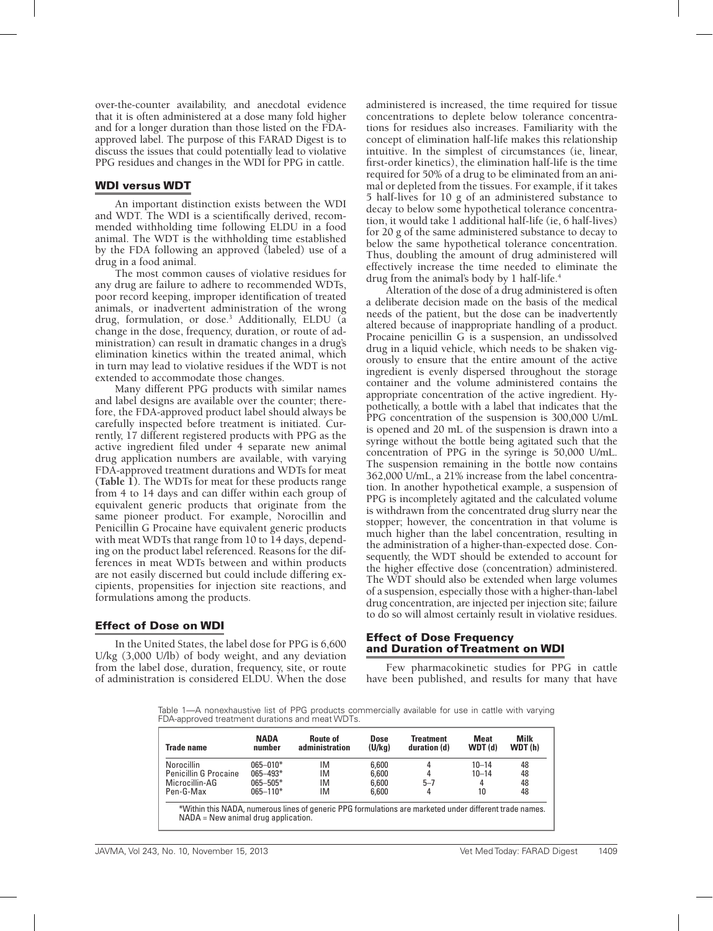over-the-counter availability, and anecdotal evidence that it is often administered at a dose many fold higher and for a longer duration than those listed on the FDAapproved label. The purpose of this FARAD Digest is to discuss the issues that could potentially lead to violative PPG residues and changes in the WDI for PPG in cattle.

#### WDI versus WDT

An important distinction exists between the WDI and WDT. The WDI is a scientifically derived, recommended withholding time following ELDU in a food animal. The WDT is the withholding time established by the FDA following an approved (labeled) use of a drug in a food animal.

The most common causes of violative residues for any drug are failure to adhere to recommended WDTs, poor record keeping, improper identification of treated animals, or inadvertent administration of the wrong drug, formulation, or dose.3 Additionally, ELDU (a change in the dose, frequency, duration, or route of administration) can result in dramatic changes in a drug's elimination kinetics within the treated animal, which in turn may lead to violative residues if the WDT is not extended to accommodate those changes.

Many different PPG products with similar names and label designs are available over the counter; therefore, the FDA-approved product label should always be carefully inspected before treatment is initiated. Currently, 17 different registered products with PPG as the active ingredient filed under 4 separate new animal drug application numbers are available, with varying FDA-approved treatment durations and WDTs for meat **(Table 1)**. The WDTs for meat for these products range from 4 to 14 days and can differ within each group of equivalent generic products that originate from the same pioneer product. For example, Norocillin and Penicillin G Procaine have equivalent generic products with meat WDTs that range from 10 to 14 days, depending on the product label referenced. Reasons for the differences in meat WDTs between and within products are not easily discerned but could include differing excipients, propensities for injection site reactions, and formulations among the products.

#### Effect of Dose on WDI

In the United States, the label dose for PPG is 6,600 U/kg (3,000 U/lb) of body weight, and any deviation from the label dose, duration, frequency, site, or route of administration is considered ELDU. When the dose administered is increased, the time required for tissue concentrations to deplete below tolerance concentrations for residues also increases. Familiarity with the concept of elimination half-life makes this relationship intuitive. In the simplest of circumstances (ie, linear, first-order kinetics), the elimination half-life is the time required for 50% of a drug to be eliminated from an animal or depleted from the tissues. For example, if it takes 5 half-lives for 10 g of an administered substance to decay to below some hypothetical tolerance concentration, it would take 1 additional half-life (ie, 6 half-lives) for 20 g of the same administered substance to decay to below the same hypothetical tolerance concentration. Thus, doubling the amount of drug administered will effectively increase the time needed to eliminate the drug from the animal's body by 1 half-life.<sup>4</sup>

Alteration of the dose of a drug administered is often a deliberate decision made on the basis of the medical needs of the patient, but the dose can be inadvertently altered because of inappropriate handling of a product. Procaine penicillin G is a suspension, an undissolved drug in a liquid vehicle, which needs to be shaken vigorously to ensure that the entire amount of the active ingredient is evenly dispersed throughout the storage container and the volume administered contains the appropriate concentration of the active ingredient. Hypothetically, a bottle with a label that indicates that the PPG concentration of the suspension is 300,000 U/mL is opened and 20 mL of the suspension is drawn into a syringe without the bottle being agitated such that the concentration of PPG in the syringe is 50,000 U/mL. The suspension remaining in the bottle now contains 362,000 U/mL, a 21% increase from the label concentration. In another hypothetical example, a suspension of PPG is incompletely agitated and the calculated volume is withdrawn from the concentrated drug slurry near the stopper; however, the concentration in that volume is much higher than the label concentration, resulting in the administration of a higher-than-expected dose. Consequently, the WDT should be extended to account for the higher effective dose (concentration) administered. The WDT should also be extended when large volumes of a suspension, especially those with a higher-than-label drug concentration, are injected per injection site; failure to do so will almost certainly result in violative residues.

#### Effect of Dose Frequency and Duration of Treatment on WDI

Few pharmacokinetic studies for PPG in cattle have been published, and results for many that have

Table 1—A nonexhaustive list of PPG products commercially available for use in cattle with varying FDA-approved treatment durations and meat WDTs.

| <b>Trade name</b>            | <b>NADA</b><br>number | Route of<br>administration | Dose<br>(U/kq) | Treatment<br>duration (d) | <b>Meat</b><br>WDT(d) | <b>Milk</b><br>WDT(h) |
|------------------------------|-----------------------|----------------------------|----------------|---------------------------|-----------------------|-----------------------|
| <b>Norocillin</b>            | $065 - 010*$          | ΙM                         | 6,600          |                           | $10 - 14$             | 48                    |
| <b>Penicillin G Procaine</b> | $065 - 493*$          | ΙM                         | 6,600          |                           | $10 - 14$             | 48                    |
| Microcillin-AG               | $065 - 505*$          | ΙM                         | 6,600          | $5 - 7$                   | 4                     | 48                    |
| Pen-G-Max                    | $065 - 110*$          | ΙM                         | 6,600          |                           | 10                    | 48                    |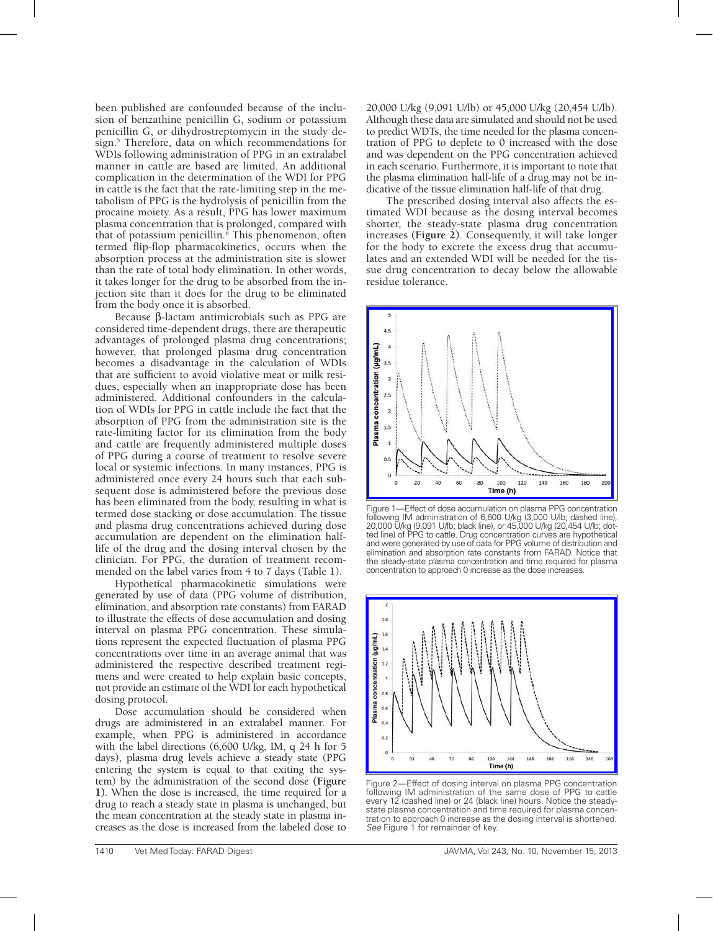been published are confounded because of the inclusion of benzathine penicillin G, sodium or potassium penicillin G, or dihydrostreptomycin in the study design.5 Therefore, data on which recommendations for WDIs following administration of PPG in an extralabel manner in cattle are based are limited. An additional complication in the determination of the WDI for PPG in cattle is the fact that the rate-limiting step in the metabolism of PPG is the hydrolysis of penicillin from the procaine moiety. As a result, PPG has lower maximum plasma concentration that is prolonged, compared with that of potassium penicillin.<sup>6</sup> This phenomenon, often termed flip-flop pharmacokinetics, occurs when the absorption process at the administration site is slower than the rate of total body elimination. In other words, it takes longer for the drug to be absorbed from the injection site than it does for the drug to be eliminated from the body once it is absorbed.

Because β-lactam antimicrobials such as PPG are considered time-dependent drugs, there are therapeutic advantages of prolonged plasma drug concentrations; however, that prolonged plasma drug concentration becomes a disadvantage in the calculation of WDIs that are sufficient to avoid violative meat or milk residues, especially when an inappropriate dose has been administered. Additional confounders in the calculation of WDIs for PPG in cattle include the fact that the absorption of PPG from the administration site is the rate-limiting factor for its elimination from the body and cattle are frequently administered multiple doses of PPG during a course of treatment to resolve severe local or systemic infections. In many instances, PPG is administered once every 24 hours such that each subsequent dose is administered before the previous dose has been eliminated from the body, resulting in what is termed dose stacking or dose accumulation. The tissue and plasma drug concentrations achieved during dose accumulation are dependent on the elimination halflife of the drug and the dosing interval chosen by the clinician. For PPG, the duration of treatment recommended on the label varies from 4 to 7 days (Table 1).

Hypothetical pharmacokinetic simulations were generated by use of data (PPG volume of distribution, elimination, and absorption rate constants) from FARAD to illustrate the effects of dose accumulation and dosing interval on plasma PPG concentration. These simulations represent the expected fluctuation of plasma PPG concentrations over time in an average animal that was administered the respective described treatment regimens and were created to help explain basic concepts, not provide an estimate of the WDI for each hypothetical dosing protocol.

Dose accumulation should be considered when drugs are administered in an extralabel manner. For example, when PPG is administered in accordance with the label directions (6,600 U/kg, IM, q 24 h for 5 days), plasma drug levels achieve a steady state (PPG entering the system is equal to that exiting the system) by the administration of the second dose **(Figure 1)**. When the dose is increased, the time required for a drug to reach a steady state in plasma is unchanged, but the mean concentration at the steady state in plasma increases as the dose is increased from the labeled dose to

20,000 U/kg (9,091 U/lb) or 45,000 U/kg (20,454 U/lb). Although these data are simulated and should not be used to predict WDTs, the time needed for the plasma concentration of PPG to deplete to 0 increased with the dose and was dependent on the PPG concentration achieved in each scenario. Furthermore, it is important to note that the plasma elimination half-life of a drug may not be indicative of the tissue elimination half-life of that drug.

The prescribed dosing interval also affects the estimated WDI because as the dosing interval becomes shorter, the steady-state plasma drug concentration increases **(Figure 2)**. Consequently, it will take longer for the body to excrete the excess drug that accumulates and an extended WDI will be needed for the tissue drug concentration to decay below the allowable residue tolerance.



Figure 1—Effect of dose accumulation on plasma PPG concentration following IM administration of 6,600 U/kg (3,000 U/lb; dashed line), 20,000 U/kg (9,091 U/lb; black line), or 45,000 U/kg (20,454 U/lb; dotted line) of PPG to cattle. Drug concentration curves are hypothetical and were generated by use of data for PPG volume of distribution and elimination and absorption rate constants from FARAD. Notice that the steady-state plasma concentration and time required for plasma concentration to approach 0 increase as the dose increases.



Figure 2—Effect of dosing interval on plasma PPG concentration following IM administration of the same dose of PPG to cattle every 12 (dashed line) or 24 (black line) hours. Notice the steadystate plasma concentration and time required for plasma concentration to approach 0 increase as the dosing interval is shortened. *See* Figure 1 for remainder of key.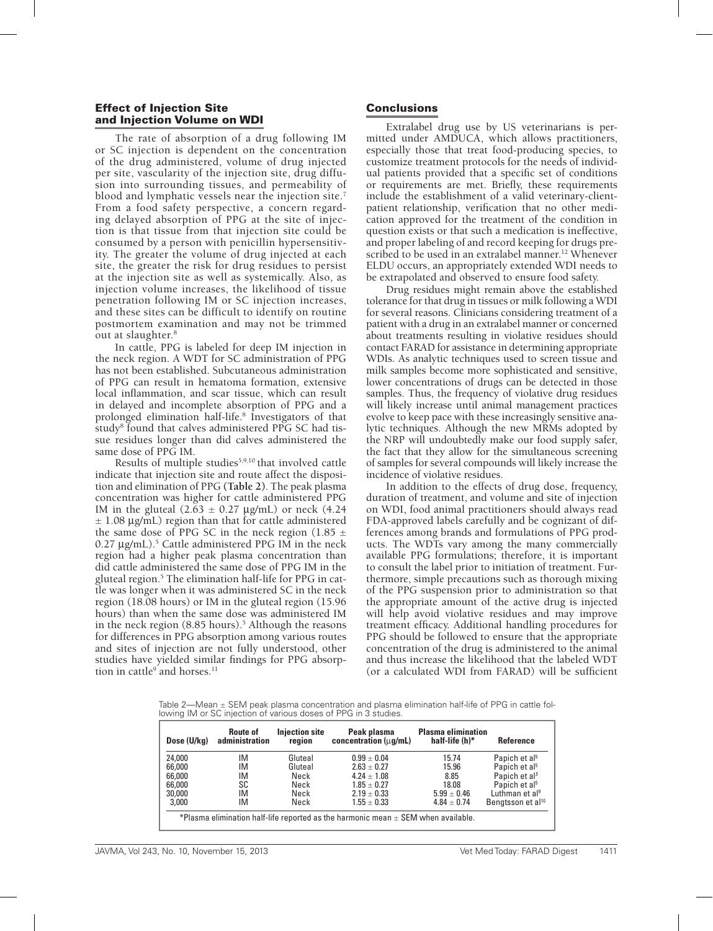#### Effect of Injection Site and Injection Volume on WDI

The rate of absorption of a drug following IM or SC injection is dependent on the concentration of the drug administered, volume of drug injected per site, vascularity of the injection site, drug diffusion into surrounding tissues, and permeability of blood and lymphatic vessels near the injection site.<sup>7</sup> From a food safety perspective, a concern regarding delayed absorption of PPG at the site of injection is that tissue from that injection site could be consumed by a person with penicillin hypersensitivity. The greater the volume of drug injected at each site, the greater the risk for drug residues to persist at the injection site as well as systemically. Also, as injection volume increases, the likelihood of tissue penetration following IM or SC injection increases, and these sites can be difficult to identify on routine postmortem examination and may not be trimmed out at slaughter.8

In cattle, PPG is labeled for deep IM injection in the neck region. A WDT for SC administration of PPG has not been established. Subcutaneous administration of PPG can result in hematoma formation, extensive local inflammation, and scar tissue, which can result in delayed and incomplete absorption of PPG and a prolonged elimination half-life.8 Investigators of that study<sup>8</sup> found that calves administered PPG SC had tissue residues longer than did calves administered the same dose of PPG IM.

Results of multiple studies<sup>5,9,10</sup> that involved cattle indicate that injection site and route affect the disposition and elimination of PPG **(Table 2)**. The peak plasma concentration was higher for cattle administered PPG IM in the gluteal  $(2.\overline{63} \pm 0.27 \text{ µg/mL})$  or neck  $(4.24$  $\pm$  1.08  $\mu$ g/mL) region than that for cattle administered the same dose of PPG SC in the neck region (1.85  $\pm$ 0.27 µg/mL).<sup>5</sup> Cattle administered PPG IM in the neck region had a higher peak plasma concentration than did cattle administered the same dose of PPG IM in the gluteal region.5 The elimination half-life for PPG in cattle was longer when it was administered SC in the neck region (18.08 hours) or IM in the gluteal region (15.96 hours) than when the same dose was administered IM in the neck region (8.85 hours).<sup>5</sup> Although the reasons for differences in PPG absorption among various routes and sites of injection are not fully understood, other studies have yielded similar findings for PPG absorption in cattle<sup>9</sup> and horses.<sup>11</sup>

### Conclusions

Extralabel drug use by US veterinarians is permitted under AMDUCA, which allows practitioners, especially those that treat food-producing species, to customize treatment protocols for the needs of individual patients provided that a specific set of conditions or requirements are met. Briefly, these requirements include the establishment of a valid veterinary-clientpatient relationship, verification that no other medication approved for the treatment of the condition in question exists or that such a medication is ineffective, and proper labeling of and record keeping for drugs prescribed to be used in an extralabel manner.<sup>12</sup> Whenever ELDU occurs, an appropriately extended WDI needs to be extrapolated and observed to ensure food safety.

Drug residues might remain above the established tolerance for that drug in tissues or milk following a WDI for several reasons. Clinicians considering treatment of a patient with a drug in an extralabel manner or concerned about treatments resulting in violative residues should contact FARAD for assistance in determining appropriate WDIs. As analytic techniques used to screen tissue and milk samples become more sophisticated and sensitive, lower concentrations of drugs can be detected in those samples. Thus, the frequency of violative drug residues will likely increase until animal management practices evolve to keep pace with these increasingly sensitive analytic techniques. Although the new MRMs adopted by the NRP will undoubtedly make our food supply safer, the fact that they allow for the simultaneous screening of samples for several compounds will likely increase the incidence of violative residues.

In addition to the effects of drug dose, frequency, duration of treatment, and volume and site of injection on WDI, food animal practitioners should always read FDA-approved labels carefully and be cognizant of differences among brands and formulations of PPG products. The WDTs vary among the many commercially available PPG formulations; therefore, it is important to consult the label prior to initiation of treatment. Furthermore, simple precautions such as thorough mixing of the PPG suspension prior to administration so that the appropriate amount of the active drug is injected will help avoid violative residues and may improve treatment efficacy. Additional handling procedures for PPG should be followed to ensure that the appropriate concentration of the drug is administered to the animal and thus increase the likelihood that the labeled WDT (or a calculated WDI from FARAD) will be sufficient

Table  $2$ —Mean  $\pm$  SEM peak plasma concentration and plasma elimination half-life of PPG in cattle following IM or SC injection of various doses of PPG in 3 studies.

| Dose (U/kg)                                                                           | <b>Route of</b><br>administration | <b>Injection site</b><br>region | Peak plasma<br>concentration ( $\mu$ q/mL) | <b>Plasma elimination</b><br>half-life (h)* | <b>Reference</b>              |  |  |  |
|---------------------------------------------------------------------------------------|-----------------------------------|---------------------------------|--------------------------------------------|---------------------------------------------|-------------------------------|--|--|--|
| 24,000                                                                                | ΙM                                | Gluteal                         | $0.99 + 0.04$                              | 15.74                                       | Papich et al <sup>5</sup>     |  |  |  |
| 66,000                                                                                | IM                                | Gluteal                         | $2.63 + 0.27$                              | 15.96                                       | Papich et al <sup>5</sup>     |  |  |  |
| 66,000                                                                                | IM                                | Neck                            | $4.24 + 1.08$                              | 8.85                                        | Papich et al <sup>5</sup>     |  |  |  |
| 66,000                                                                                | SC                                | Neck                            | $1.85 + 0.27$                              | 18.08                                       | Papich et al <sup>5</sup>     |  |  |  |
| 30,000                                                                                | IM                                | Neck                            | $2.19 + 0.33$                              | $5.99 \pm 0.46$                             | Luthman et al <sup>9</sup>    |  |  |  |
| 3,000                                                                                 | ΙM                                | Neck                            | $1.55 + 0.33$                              | $4.84 + 0.74$                               | Bengtsson et al <sup>10</sup> |  |  |  |
| *Plasma elimination half-life reported as the harmonic mean $\pm$ SEM when available. |                                   |                                 |                                            |                                             |                               |  |  |  |